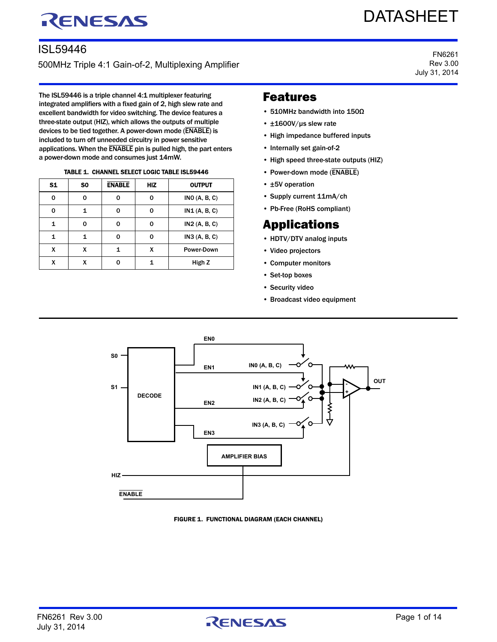# RENESAS

# DATASHEET

### ISL59446

500MHz Triple 4:1 Gain-of-2, Multiplexing Amplifier

The ISL59446 is a triple channel 4:1 multiplexer featuring integrated amplifiers with a fixed gain of 2, high slew rate and excellent bandwidth for video switching. The device features a three-state output (HIZ), which allows the outputs of multiple devices to be tied together. A power-down mode (ENABLE) is included to turn off unneeded circuitry in power sensitive applications. When the ENABLE pin is pulled high, the part enters a power-down mode and consumes just 14mW.

|  |  | <b>TABLE 1. CHANNEL SELECT LOGIC TABLE ISL59446</b> |
|--|--|-----------------------------------------------------|
|  |  |                                                     |

| S <sub>1</sub> | S <sub>0</sub> | <b>ENABLE</b> | <b>HIZ</b> | <b>OUTPUT</b>        |
|----------------|----------------|---------------|------------|----------------------|
| 0              | ŋ              | O             | O          | <b>INO</b> (A, B, C) |
| 0              |                | 0             |            | IN1(A, B, C)         |
| 1              | ი              | 0             | 0          | IN2 (A, B, C)        |
| 1              |                | 0             | O          | IN3(A, B, C)         |
| x              | x              | 1             | x          | Power-Down           |
| x              | X              | O             |            | High Z               |

#### FN6261 Rev 3.00 July 31, 2014

### Features

- 510MHz bandwidth into 150Ω
- ±1600V/µs slew rate
- High impedance buffered inputs
- Internally set gain-of-2
- High speed three-state outputs (HIZ)
- Power-down mode (ENABLE)
- ±5V operation
- Supply current 11mA/ch
- Pb-Free (RoHS compliant)

### Applications

- HDTV/DTV analog inputs
- Video projectors
- Computer monitors
- Set-top boxes
- Security video
- Broadcast video equipment





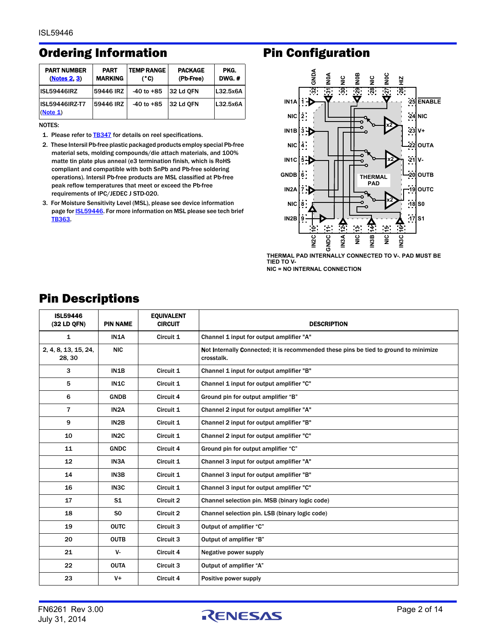### Ordering Information **Pin Configuration**

| <b>PART NUMBER</b><br>(Notes 2.3) | <b>PART</b><br><b>MARKING</b> | <b>TEMP RANGE</b><br>(°C) | <b>PACKAGE</b><br>(Pb-Free) | PKG.<br><b>DWG.#</b> |
|-----------------------------------|-------------------------------|---------------------------|-----------------------------|----------------------|
| <b>ISL59446IRZ</b>                | 59446 IRZ                     | $-40$ to $+85$            | 32 Ld OFN                   | L32.5x6A             |
| ISL59446IRZ-T7<br>(Note 1)        | 59446 IRZ                     | $-40$ to $+85$            | 32 Ld OFN                   | L32.5x6A             |

NOTES:

- <span id="page-1-2"></span>1. Please refer to **[TB347](http://www.intersil.com/data/tb/tb347.pdf)** for details on reel specifications.
- <span id="page-1-0"></span>2. These Intersil Pb-free plastic packaged products employ special Pb-free material sets, molding compounds/die attach materials, and 100% matte tin plate plus anneal (e3 termination finish, which is RoHS compliant and compatible with both SnPb and Pb-free soldering operations). Intersil Pb-free products are MSL classified at Pb-free peak reflow temperatures that meet or exceed the Pb-free requirements of IPC/JEDEC J STD-020.
- <span id="page-1-1"></span>3. For Moisture Sensitivity Level (MSL), please see device information page for **ISL59446**. For more information on MSL please see tech brief [TB363](http://www.intersil.com/data/tb/tb363.pdf).



**THERMAL PAD INTERNALLY CONNECTED TO V-. PAD MUST BE TIED TO V-**

**NIC = NO INTERNAL CONNECTION**

| <b>ISL59446</b><br>(32 LD QFN) | <b>PIN NAME</b>   | <b>EQUIVALENT</b><br><b>CIRCUIT</b> | <b>DESCRIPTION</b>                                                                                 |
|--------------------------------|-------------------|-------------------------------------|----------------------------------------------------------------------------------------------------|
| $\mathbf{1}$                   | IN1A              | Circuit 1                           | Channel 1 input for output amplifier "A"                                                           |
| 2, 4, 8, 13, 15, 24,<br>28, 30 | <b>NIC</b>        |                                     | Not Internally Connected; it is recommended these pins be tied to ground to minimize<br>crosstalk. |
| 3                              | IN1B              | Circuit 1                           | Channel 1 input for output amplifier "B"                                                           |
| 5                              | IN <sub>1</sub> C | Circuit 1                           | Channel 1 input for output amplifier "C"                                                           |
| 6                              | <b>GNDB</b>       | Circuit 4                           | Ground pin for output amplifier "B"                                                                |
| $\overline{7}$                 | IN <sub>2</sub> A | Circuit 1                           | Channel 2 input for output amplifier "A"                                                           |
| 9                              | IN <sub>2</sub> B | Circuit 1                           | Channel 2 input for output amplifier "B"                                                           |
| 10                             | IN <sub>2</sub> C | Circuit 1                           | Channel 2 input for output amplifier "C"                                                           |
| 11                             | <b>GNDC</b>       | Circuit 4                           | Ground pin for output amplifier "C"                                                                |
| 12                             | IN <sub>3</sub> A | Circuit 1                           | Channel 3 input for output amplifier "A"                                                           |
| 14                             | IN3B              | Circuit 1                           | Channel 3 input for output amplifier "B"                                                           |
| 16                             | IN <sub>3</sub> C | Circuit 1                           | Channel 3 input for output amplifier "C"                                                           |
| 17                             | S <sub>1</sub>    | Circuit 2                           | Channel selection pin. MSB (binary logic code)                                                     |
| 18                             | S <sub>0</sub>    | Circuit 2                           | Channel selection pin. LSB (binary logic code)                                                     |
| 19                             | <b>OUTC</b>       | Circuit 3                           | Output of amplifier "C"                                                                            |
| 20                             | <b>OUTB</b>       | Circuit 3                           | Output of amplifier "B"                                                                            |
| 21                             | V-                | Circuit 4                           | Negative power supply                                                                              |
| 22                             | <b>OUTA</b>       | Circuit 3                           | Output of amplifier "A"                                                                            |
| 23                             | $V +$             | Circuit 4                           | Positive power supply                                                                              |

### <span id="page-1-3"></span>Pin Descriptions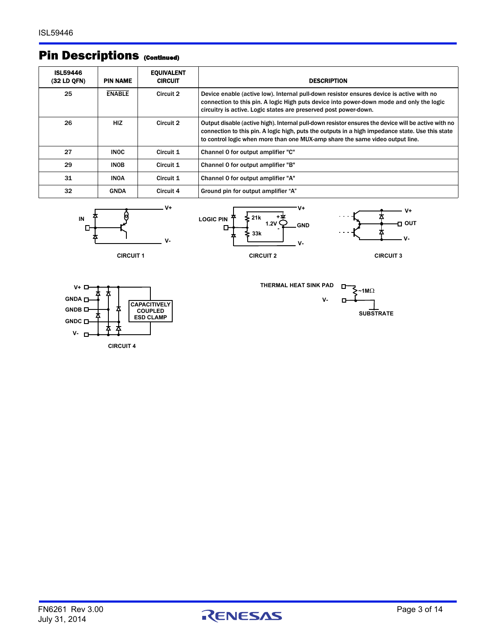### Pin Descriptions (Continued)

| <b>ISL59446</b><br>(32 LD QFN) | <b>PIN NAME</b> | <b>EQUIVALENT</b><br><b>CIRCUIT</b> | <b>DESCRIPTION</b>                                                                                                                                                                                                                                                                       |
|--------------------------------|-----------------|-------------------------------------|------------------------------------------------------------------------------------------------------------------------------------------------------------------------------------------------------------------------------------------------------------------------------------------|
| 25                             | <b>ENABLE</b>   | Circuit 2                           | Device enable (active low). Internal pull-down resistor ensures device is active with no<br>connection to this pin. A logic High puts device into power-down mode and only the logic<br>circuitry is active. Logic states are preserved post power-down.                                 |
| 26                             | <b>HIZ</b>      | Circuit 2                           | Output disable (active high). Internal pull-down resistor ensures the device will be active with no<br>connection to this pin. A logic high, puts the outputs in a high impedance state. Use this state<br>to control logic when more than one MUX-amp share the same video output line. |
| 27                             | <b>INOC</b>     | Circuit 1                           | Channel 0 for output amplifier "C"                                                                                                                                                                                                                                                       |
| 29                             | <b>INOB</b>     | Circuit 1                           | Channel 0 for output amplifier "B"                                                                                                                                                                                                                                                       |
| 31                             | <b>INOA</b>     | Circuit 1                           | Channel 0 for output amplifier "A"                                                                                                                                                                                                                                                       |
| 32                             | <b>GNDA</b>     | Circuit 4                           | Ground pin for output amplifier "A"                                                                                                                                                                                                                                                      |











**V+**



**CIRCUIT 4**



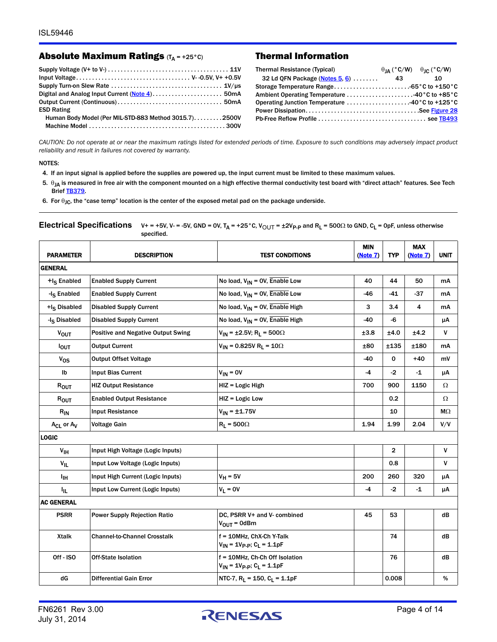#### Absolute Maximum Ratings  $(T_A = +25^\circ C)$  Thermal Information

| <b>ESD Rating</b>                                     |  |
|-------------------------------------------------------|--|
| Human Body Model (Per MIL-STD-883 Method 3015.7)2500V |  |
|                                                       |  |
|                                                       |  |

| Thermal Resistance (Typical)                                                   | $\theta_{IA}$ (°C/W) $\theta_{IC}$ (°C/W) |    |
|--------------------------------------------------------------------------------|-------------------------------------------|----|
| 32 Ld QFN Package (Notes 5, 6)  43                                             |                                           | 10 |
|                                                                                |                                           |    |
|                                                                                |                                           |    |
| Operating Junction Temperature $\dots\dots\dots\dots\dots\dots40$ °C to +125°C |                                           |    |
|                                                                                |                                           |    |
|                                                                                |                                           |    |
|                                                                                |                                           |    |

*CAUTION: Do not operate at or near the maximum ratings listed for extended periods of time. Exposure to such conditions may adversely impact product reliability and result in failures not covered by warranty.*

#### NOTES:

- <span id="page-3-0"></span>4. If an input signal is applied before the supplies are powered up, the input current must be limited to these maximum values.
- <span id="page-3-1"></span>5.  $\theta_{JA}$  is measured in free air with the component mounted on a high effective thermal conductivity test board with "direct attach" features. See Tech Brief [TB379](http://www.intersil.com/data/tb/tb379.pdf).

<span id="page-3-2"></span>6. For  $\theta_{\text{JC}}$ , the "case temp" location is the center of the exposed metal pad on the package underside.

| <b>PARAMETER</b>         | <b>DESCRIPTION</b>                        | <b>TEST CONDITIONS</b>                                                                  | <b>MIN</b><br>(Note 7) | <b>TYP</b>     | <b>MAX</b><br>(Note 7) | <b>UNIT</b>  |
|--------------------------|-------------------------------------------|-----------------------------------------------------------------------------------------|------------------------|----------------|------------------------|--------------|
| <b>GENERAL</b>           |                                           |                                                                                         |                        |                |                        |              |
| +I <sub>S</sub> Enabled  | <b>Enabled Supply Current</b>             | No load, $V_{IN} = OV$ , Enable Low                                                     | 40                     | 44             | 50                     | mA           |
| -I <sub>S</sub> Enabled  | <b>Enabled Supply Current</b>             | No load, $V_{IN} = OV$ , Enable Low                                                     | -46                    | $-41$          | $-37$                  | mA           |
| +I <sub>S</sub> Disabled | <b>Disabled Supply Current</b>            | No load, $V_{IN}$ = 0V, Enable High                                                     | 3                      | 3.4            | 4                      | mA           |
| -I <sub>S</sub> Disabled | <b>Disabled Supply Current</b>            | No load, $V_{IN}$ = 0V, Enable High                                                     | -40                    | -6             |                        | μA           |
| $V_{OUT}$                | <b>Positive and Negative Output Swing</b> | $V_{IN}$ = ±2.5V; R <sub>L</sub> = 500 $\Omega$                                         | ±3.8                   | ±4.0           | ±4.2                   | V            |
| $I_{OUT}$                | <b>Output Current</b>                     | $V_{IN}$ = 0.825V R <sub>L</sub> = 10 $\Omega$                                          | ±80                    | ±135           | ±180                   | mA           |
| $v_{OS}$                 | <b>Output Offset Voltage</b>              |                                                                                         | $-40$                  | 0              | +40                    | m٧           |
| Ib                       | <b>Input Bias Current</b>                 | $V_{IN} = OV$                                                                           | $-4$                   | $-2$           | $-1$                   | μA           |
| $R_{OUT}$                | <b>HIZ Output Resistance</b>              | HIZ = Logic High                                                                        | 700                    | 900            | 1150                   | Ω            |
| $R_{OUT}$                | <b>Enabled Output Resistance</b>          | HIZ = Logic Low                                                                         |                        | 0.2            |                        | Ω            |
| $R_{IN}$                 | <b>Input Resistance</b>                   | $V_{IN}$ = $\pm$ 1.75V                                                                  |                        | 10             |                        | $M\Omega$    |
| $A_{CL}$ or $A_V$        | <b>Voltage Gain</b>                       | $R_L = 500\Omega$                                                                       | 1.94                   | 1.99           | 2.04                   | V/V          |
| <b>LOGIC</b>             |                                           |                                                                                         |                        |                |                        |              |
| V <sub>IH</sub>          | Input High Voltage (Logic Inputs)         |                                                                                         |                        | $\overline{2}$ |                        | V            |
| $V_{IL}$                 | Input Low Voltage (Logic Inputs)          |                                                                                         |                        | 0.8            |                        | $\mathsf{v}$ |
| ŀщ                       | Input High Current (Logic Inputs)         | $V_H = 5V$                                                                              | 200                    | 260            | 320                    | μA           |
| 址                        | Input Low Current (Logic Inputs)          | $V_L = 0V$                                                                              | -4                     | $-2$           | $-1$                   | μA           |
| <b>AC GENERAL</b>        |                                           |                                                                                         |                        |                |                        |              |
| <b>PSRR</b>              | <b>Power Supply Rejection Ratio</b>       | DC, PSRR V+ and V- combined<br>$V_{\text{OUT}} = 0$ dBm                                 | 45                     | 53             |                        | dB           |
| <b>Xtalk</b>             | <b>Channel-to-Channel Crosstalk</b>       | f = 10MHz, ChX-Ch Y-Talk<br>$V_{1N} = 1V_{P-P}$ ; C <sub>L</sub> = 1.1pF                |                        | 74             |                        | dB           |
| Off-ISO                  | <b>Off-State Isolation</b>                | f = 10MHz, Ch-Ch Off Isolation<br>$V_{IN}$ = 1V <sub>P-P</sub> ; C <sub>L</sub> = 1.1pF |                        | 76             |                        | dВ           |
| dG                       | <b>Differential Gain Error</b>            | NTC-7, $R_L = 150$ , $C_L = 1.1pF$                                                      |                        | 0.008          |                        | $\%$         |

<span id="page-3-3"></span>**Electrical Specifications**  $V_+ = +5V$ ,  $V_-= -5V$ , GND = 0V,  $T_A = +25^\circ$ C,  $V_{\text{OUT}} = \pm 2V_{\text{P-P}}$  and  $R_L = 500\Omega$  to GND,  $C_L = 0$ pF, unless otherwise specified.

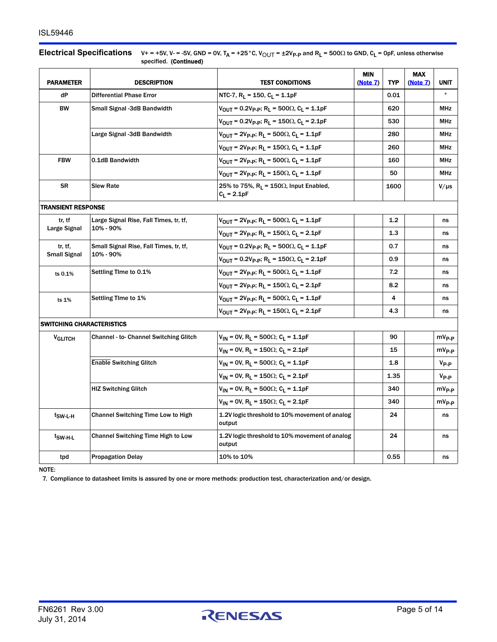#### **Electrical Specifications**  $V_+ = +5V$ ,  $V_0 = -5V$ , GND = 0V,  $T_A = +25^\circ$ C,  $V_{\text{OUT}} = \pm 2V_{\text{P-P}}$  and  $R_L = 500\Omega$  to GND,  $C_L = 0$ pF, unless otherwise specified. (Continued)

| <b>PARAMETER</b>          | <b>DESCRIPTION</b>                                  | <b>TEST CONDITIONS</b>                                                                        | <b>MIN</b><br>(Note 7) | <b>TYP</b> | <b>MAX</b><br>(Note 7) | <b>UNIT</b>        |
|---------------------------|-----------------------------------------------------|-----------------------------------------------------------------------------------------------|------------------------|------------|------------------------|--------------------|
| dP                        | <b>Differential Phase Error</b>                     | NTC-7, R <sub>L</sub> = 150, C <sub>L</sub> = 1.1pF                                           |                        | 0.01       |                        |                    |
| <b>BW</b>                 | Small Signal -3dB Bandwidth                         | $V_{\text{OUT}} = 0.2V_{\text{P-P}}$ ; R <sub>L</sub> = 500 $\Omega$ , C <sub>L</sub> = 1.1pF |                        | 620        |                        | <b>MHz</b>         |
|                           |                                                     | $V_{\text{OUT}} = 0.2V_{\text{P-P}}$ ; R <sub>L</sub> = 150 $\Omega$ , C <sub>L</sub> = 2.1pF |                        | 530        |                        | <b>MHz</b>         |
|                           | Large Signal -3dB Bandwidth                         | $V_{\text{OUT}} = 2V_{\text{P-P}}$ ; R <sub>L</sub> = 500 $\Omega$ , C <sub>L</sub> = 1.1pF   |                        | 280        |                        | <b>MHz</b>         |
|                           |                                                     | $V_{\text{OUT}} = 2V_{\text{P-P}}$ ; R <sub>L</sub> = 150 $\Omega$ , C <sub>L</sub> = 1.1pF   |                        | 260        |                        | <b>MHz</b>         |
| <b>FBW</b>                | 0.1dB Bandwidth                                     | $V_{\text{OUT}} = 2V_{\text{P-P}}$ ; R <sub>1</sub> = 500 $\Omega$ , C <sub>1</sub> = 1.1pF   |                        | 160        |                        | MHz                |
|                           |                                                     | $V_{\text{OUT}} = 2V_{\text{P-P}}$ ; R <sub>L</sub> = 150 $\Omega$ , C <sub>L</sub> = 1.1pF   |                        | 50         |                        | <b>MHz</b>         |
| <b>SR</b>                 | <b>Slew Rate</b>                                    | 25% to 75%, $R_L$ = 150 $\Omega$ , Input Enabled,<br>$C_L = 2.1pF$                            |                        | 1600       |                        | $V/\mu s$          |
| <b>TRANSIENT RESPONSE</b> |                                                     |                                                                                               |                        |            |                        |                    |
| tr. tf                    | Large Signal Rise, Fall Times, tr, tf,              | $V_{\text{OUT}}$ = 2V <sub>P-P</sub> ; R <sub>L</sub> = 500 $\Omega$ , C <sub>L</sub> = 1.1pF |                        | 1.2        |                        | ns                 |
| Large Signal              | 10% - 90%                                           | $V_{\text{OUT}} = 2V_{\text{P-P}}$ ; R <sub>L</sub> = 150 $\Omega$ , C <sub>L</sub> = 2.1pF   |                        | 1.3        |                        | ns                 |
| tr. tf.                   | Small Signal Rise, Fall Times, tr, tf,<br>10% - 90% | $V_{\text{OUT}} = 0.2V_{\text{P-P}}$ ; R <sub>L</sub> = 500 $\Omega$ , C <sub>L</sub> = 1.1pF |                        | 0.7        |                        | ns                 |
| <b>Small Signal</b>       |                                                     | $V_{\text{OUT}} = 0.2V_{\text{P-P}}$ ; R <sub>L</sub> = 150 $\Omega$ , C <sub>L</sub> = 2.1pF |                        | 0.9        |                        | ns                 |
| ts 0.1%                   | Settling Time to 0.1%                               | $V_{OIII}$ = 2V <sub>P-P</sub> ; R <sub>I</sub> = 500Ω, C <sub>I</sub> = 1.1pF                |                        | 7.2        |                        | ns                 |
|                           |                                                     | $V_{\text{OUT}} = 2V_{\text{P-P}}$ ; R <sub>L</sub> = 150 $\Omega$ , C <sub>L</sub> = 2.1pF   |                        | 8.2        |                        | ns                 |
| ts 1%                     | Settling Time to 1%                                 | $V_{\text{OUT}} = 2V_{\text{P-P}}$ ; R <sub>1</sub> = 500 $\Omega$ , C <sub>1</sub> = 1.1pF   |                        | 4          |                        | ns                 |
|                           |                                                     | $V_{\text{OUT}} = 2V_{\text{P-P}}$ ; R <sub>L</sub> = 150 $\Omega$ , C <sub>L</sub> = 2.1pF   |                        | 4.3        |                        | ns                 |
| SWITCHING CHARACTERISTICS |                                                     |                                                                                               |                        |            |                        |                    |
| <b>VGLITCH</b>            | <b>Channel - to- Channel Switching Glitch</b>       | $V_{IN}$ = 0V, R <sub>L</sub> = 500 $\Omega$ ; C <sub>L</sub> = 1.1pF                         |                        | 90         |                        | mV <sub>P-P</sub>  |
|                           |                                                     | $V_{IN}$ = 0V, R <sub>L</sub> = 150 $\Omega$ ; C <sub>L</sub> = 2.1pF                         |                        | 15         |                        | mV <sub>P-P</sub>  |
|                           | <b>Enable Switching Glitch</b>                      | $V_{IN}$ = 0V, R <sub>L</sub> = 500 $\Omega$ ; C <sub>L</sub> = 1.1pF                         |                        | 1.8        |                        | $V_{P-P}$          |
|                           |                                                     | $V_{IN}$ = 0V, R <sub>L</sub> = 150 $\Omega$ ; C <sub>L</sub> = 2.1pF                         |                        | 1.35       |                        | $V_{\mathsf{P-P}}$ |
|                           | <b>HIZ Switching Glitch</b>                         | $V_{IN}$ = 0V, R <sub>L</sub> = 500 $\Omega$ ; C <sub>L</sub> = 1.1pF                         |                        | 340        |                        | mV <sub>P-P</sub>  |
|                           |                                                     | $V_{IN}$ = 0V, R <sub>1</sub> = 150 $\Omega$ ; C <sub>1</sub> = 2.1pF                         |                        | 340        |                        | mV <sub>P-P</sub>  |
| t <sub>SW-L-H</sub>       | <b>Channel Switching Time Low to High</b>           | 1.2V logic threshold to 10% movement of analog<br>output                                      |                        | 24         |                        | ns                 |
| t <sub>SW-H-L</sub>       | <b>Channel Switching Time High to Low</b>           | 1.2V logic threshold to 10% movement of analog<br>output                                      |                        | 24         |                        | ns                 |
| tpd                       | <b>Propagation Delay</b>                            | 10% to 10%                                                                                    |                        | 0.55       |                        | ns                 |

NOTE:

<span id="page-4-0"></span>7. Compliance to datasheet limits is assured by one or more methods: production test, characterization and/or design.

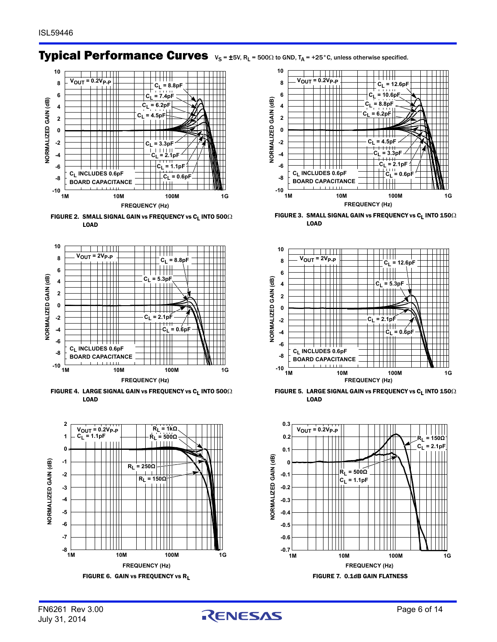## **Typical Performance Curves**  $v_s = \pm 5V$ ,  $R_L = 500 \Omega$  to GND,  $T_A = +25$ °C, unless otherwise specified.



<span id="page-5-0"></span>FIGURE 2. SMALL SIGNAL GAIN vs FREQUENCY vs C<sub>L</sub> INTO  $500\Omega$ LOAD



FIGURE 4. LARGE SIGNAL GAIN vs FREQUENCY vs C<sub>L</sub> INTO  $500\Omega$ LOAD





FIGURE 3. SMALL SIGNAL GAIN vs FREQUENCY vs C<sub>L</sub> INTO  $\mathbf{150}\Omega$ LOAD



FIGURE 5. LARGE SIGNAL GAIN vs FREQUENCY vs  $C_L$  INTO 150 $\Omega$ LOAD



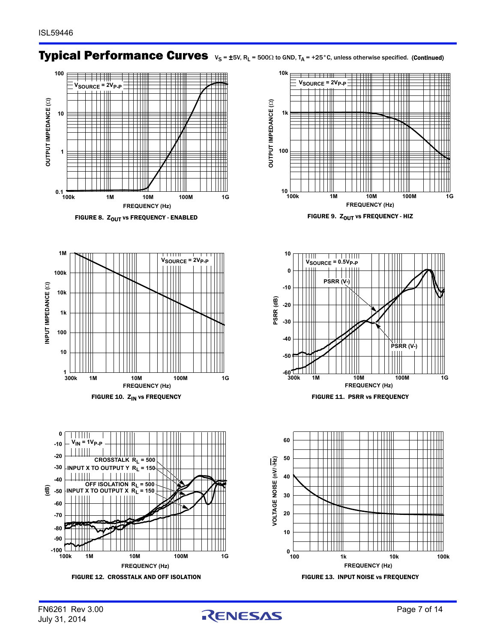## **Typical Performance Curves**  $v_s = \pm 5V$ ,  $R_L = 500 \Omega$  to GND,  $T_A = +25^\circ$ C, unless otherwise specified. (Continued)











<span id="page-6-0"></span>





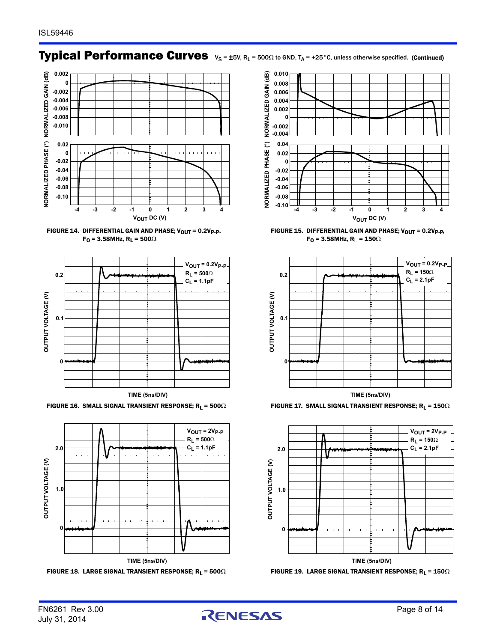# **Typical Performance Curves**  $v_s = \pm 5V$ ,  $R_L = 500 \Omega$  to GND,  $T_A = +25^\circ$ C, unless otherwise specified. (Continued)







FIGURE 16. SMALL SIGNAL TRANSIENT RESPONSE;  $R_L = 500\Omega$  FIGURE 17. SMALL SIGNAL TRANSIENT RESPONSE;  $R_L = 150\Omega$ 







FIGURE 15. DIFFERENTIAL GAIN AND PHASE;  $V_{\text{OUT}} = 0.2V_{\text{P-P}}$  $F_0$  = 3.58MHz, R<sub>L</sub> = 150 $\Omega$ 







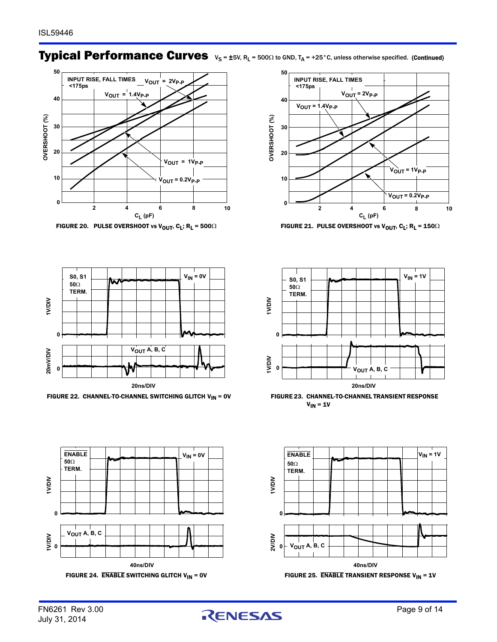## **Typical Performance Curves**  $v_s = \pm 5V$ ,  $R_L = 500 \Omega$  to GND,  $T_A = +25^\circ$ C, unless otherwise specified. (Continued)



<span id="page-8-0"></span>FIGURE 20. PULSE OVERSHOOT vs V<sub>out</sub>, C<sub>L</sub>; R<sub>L</sub> = 500 $\Omega$  FIGURE 21. PULSE OVERSHOOT vs V<sub>out</sub>, C<sub>L</sub>; R<sub>L</sub> = 150 $\Omega$ 





<span id="page-8-2"></span>



<span id="page-8-1"></span>



FIGURE 22. CHANNEL-TO-CHANNEL SWITCHING GLITCH V<sub>IN</sub> = 0V FIGURE 23. CHANNEL-TO-CHANNEL TRANSIENT RESPONSE  $V_{IN} = 1V$ 



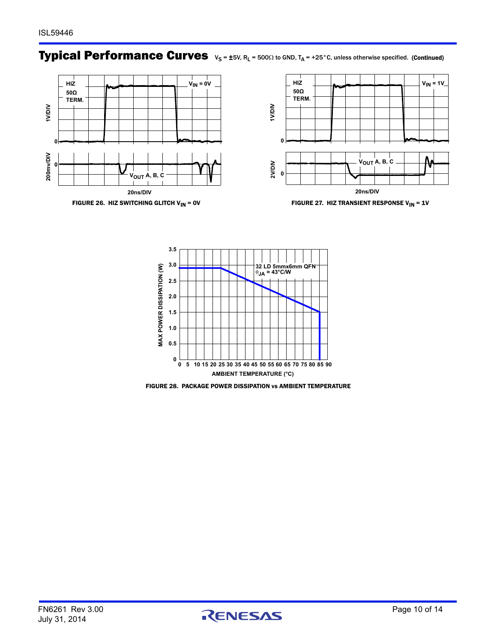### **Typical Performance Curves**  $v_s = \pm 5V$ ,  $R_L = 500 \Omega$  to GND,  $T_A = +25$ °C, unless otherwise specified. (Continued)





FIGURE 26. HIZ SWITCHING GLITCH V<sub>IN</sub> = 0V FIGURE 27. HIZ TRANSIENT RESPONSE V<sub>IN</sub> = 1V

<span id="page-9-1"></span>

<span id="page-9-0"></span>FIGURE 28. PACKAGE POWER DISSIPATION vs AMBIENT TEMPERATURE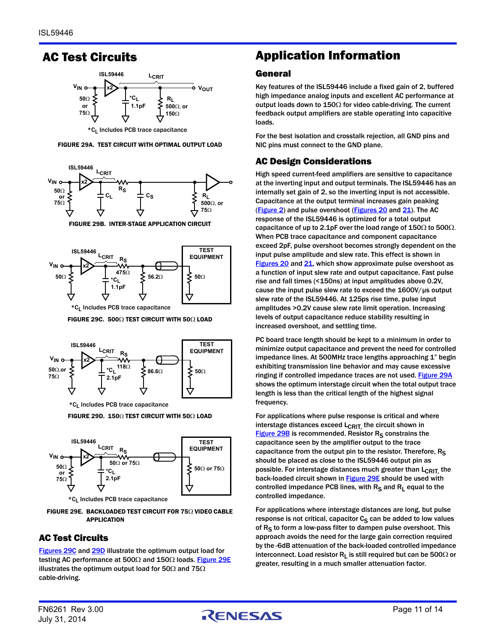### AC Test Circuits



<span id="page-10-3"></span>FIGURE 29A. TEST CIRCUIT WITH OPTIMAL OUTPUT LOAD



FIGURE 29B. INTER-STAGE APPLICATION CIRCUIT

<span id="page-10-4"></span>

FIGURE 29C. 500 $\Omega$  TEST CIRCUIT WITH 50 $\Omega$  LOAD

<span id="page-10-0"></span>

\*C<sub>1</sub> Includes PCB trace capacitance

FIGURE 29D. 150 $\Omega$  TEST CIRCUIT WITH 50 $\Omega$  LOAD

<span id="page-10-1"></span>

<span id="page-10-2"></span>FIGURE 29E. BACKLOADED TEST CIRCUIT FOR 750 VIDEO CABLE APPLICATION

### AC Test Circuits

[Figures 29C](#page-10-0) and [29D](#page-10-1) illustrate the optimum output load for testing AC performance at 500 $\Omega$  and 150 $\Omega$  loads. [Figure 29E](#page-10-2) illustrates the optimum output load for 50 $\Omega$  and 75 $\Omega$ cable-driving.

### Application Information

#### General

Key features of the ISL59446 include a fixed gain of 2, buffered high impedance analog inputs and excellent AC performance at output loads down to  $150\Omega$  for video cable-driving. The current feedback output amplifiers are stable operating into capacitive loads.

For the best isolation and crosstalk rejection, all GND pins and NIC pins must connect to the GND plane.

#### AC Design Considerations

High speed current-feed amplifiers are sensitive to capacitance at the inverting input and output terminals. The ISL59446 has an internally set gain of 2, so the inverting input is not accessible. Capacitance at the output terminal increases gain peaking ([Figure 2](#page-5-0)) and pulse overshoot [\(Figures 20](#page-8-0) and [21\)](#page-8-1). The AC response of the ISL59446 is optimized for a total output capacitance of up to 2.1pF over the load range of 150 $\Omega$  to 500 $\Omega$ . When PCB trace capacitance and component capacitance exceed 2pF, pulse overshoot becomes strongly dependent on the input pulse amplitude and slew rate. This effect is shown in [Figures 20](#page-8-0) and [21](#page-8-1), which show approximate pulse overshoot as a function of input slew rate and output capacitance. Fast pulse rise and fall times (<150ns) at input amplitudes above 0.2V, cause the input pulse slew rate to exceed the 1600V/µs output slew rate of the ISL59446. At 125ps rise time, pulse input amplitudes >0.2V cause slew rate limit operation. Increasing levels of output capacitance reduce stability resulting in increased overshoot, and settling time.

PC board trace length should be kept to a minimum in order to minimize output capacitance and prevent the need for controlled impedance lines. At 500MHz trace lengths approaching 1" begin exhibiting transmission line behavior and may cause excessive ringing if controlled impedance traces are not used. [Figure 29A](#page-10-3) shows the optimum interstage circuit when the total output trace length is less than the critical length of the highest signal frequency.

For applications where pulse response is critical and where interstage distances exceed  $L_{\text{CRIT}}$  the circuit shown in Figure  $29B$  is recommended. Resistor  $R<sub>S</sub>$  constrains the capacitance seen by the amplifier output to the trace capacitance from the output pin to the resistor. Therefore,  $R_S$ should be placed as close to the ISL59446 output pin as possible. For interstage distances much greater than  $L_{CRIT}$  the back-loaded circuit shown in **Figure 29E** should be used with controlled impedance PCB lines, with  $R_S$  and  $R_L$  equal to the controlled impedance.

For applications where interstage distances are long, but pulse response is not critical, capacitor  $C_S$  can be added to low values of  $R<sub>S</sub>$  to form a low-pass filter to dampen pulse overshoot. This approach avoids the need for the large gain correction required by the -6dB attenuation of the back-loaded controlled impedance interconnect. Load resistor  $R_L$  is still required but can be 500 $\Omega$  or greater, resulting in a much smaller attenuation factor.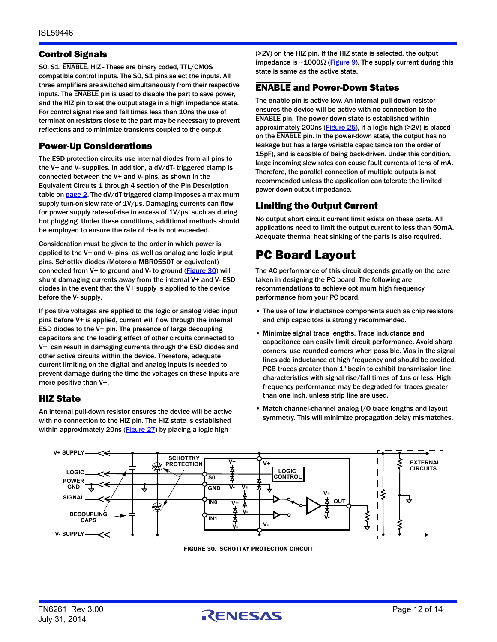#### Control Signals

S0, S1, ENABLE, HIZ - These are binary coded, TTL/CMOS compatible control inputs. The S0, S1 pins select the inputs. All three amplifiers are switched simultaneously from their respective inputs. The ENABLE pin is used to disable the part to save power, and the HIZ pin to set the output stage in a high impedance state. For control signal rise and fall times less than 10ns the use of termination resistors close to the part may be necessary to prevent reflections and to minimize transients coupled to the output.

#### Power-Up Considerations

The ESD protection circuits use internal diodes from all pins to the V+ and V- supplies. In addition, a dV/dT- triggered clamp is connected between the V+ and V- pins, as shown in the Equivalent Circuits 1 through 4 section of the Pin Description table on [page 2](#page-1-3). The dV/dT triggered clamp imposes a maximum supply turn-on slew rate of 1V/us. Damaging currents can flow for power supply rates-of-rise in excess of 1V/µs, such as during hot plugging. Under these conditions, additional methods should be employed to ensure the rate of rise is not exceeded.

Consideration must be given to the order in which power is applied to the V+ and V- pins, as well as analog and logic input pins. Schottky diodes (Motorola MBR0550T or equivalent) connected from V+ to ground and V- to ground ([Figure 30](#page-11-0)) will shunt damaging currents away from the internal V+ and V- ESD diodes in the event that the V+ supply is applied to the device before the V- supply.

If positive voltages are applied to the logic or analog video input pins before V+ is applied, current will flow through the internal ESD diodes to the V+ pin. The presence of large decoupling capacitors and the loading effect of other circuits connected to V+, can result in damaging currents through the ESD diodes and other active circuits within the device. Therefore, adequate current limiting on the digital and analog inputs is needed to prevent damage during the time the voltages on these inputs are more positive than V+.

#### HIZ State

An internal pull-down resistor ensures the device will be active with no connection to the HIZ pin. The HIZ state is established within approximately 20ns ([Figure 27](#page-9-1)) by placing a logic high

(>2V) on the HIZ pin. If the HIZ state is selected, the output impedance is  $\sim$  1000 $\Omega$  ([Figure 9](#page-6-0)). The supply current during this state is same as the active state.

### ENABLE and Power-Down States

The enable pin is active low. An internal pull-down resistor ensures the device will be active with no connection to the ENABLE pin. The power-down state is established within approximately 200ns (**[Figure 25](#page-8-2)**), if a logic high (>2V) is placed on the ENABLE pin. In the power-down state, the output has no leakage but has a large variable capacitance (on the order of 15pF), and is capable of being back-driven. Under this condition, large incoming slew rates can cause fault currents of tens of mA. Therefore, the parallel connection of multiple outputs is not recommended unless the application can tolerate the limited power-down output impedance.

#### Limiting the Output Current

No output short circuit current limit exists on these parts. All applications need to limit the output current to less than 50mA. Adequate thermal heat sinking of the parts is also required.

### PC Board Layout

The AC performance of this circuit depends greatly on the care taken in designing the PC board. The following are recommendations to achieve optimum high frequency performance from your PC board.

- The use of low inductance components such as chip resistors and chip capacitors is strongly recommended.
- Minimize signal trace lengths. Trace inductance and capacitance can easily limit circuit performance. Avoid sharp corners, use rounded corners when possible. Vias in the signal lines add inductance at high frequency and should be avoided. PCB traces greater than 1" begin to exhibit transmission line characteristics with signal rise/fall times of 1ns or less. High frequency performance may be degraded for traces greater than one inch, unless strip line are used.
- Match channel-channel analog I/O trace lengths and layout symmetry. This will minimize propagation delay mismatches.

<span id="page-11-0"></span>

FIGURE 30. SCHOTTKY PROTECTION CIRCUIT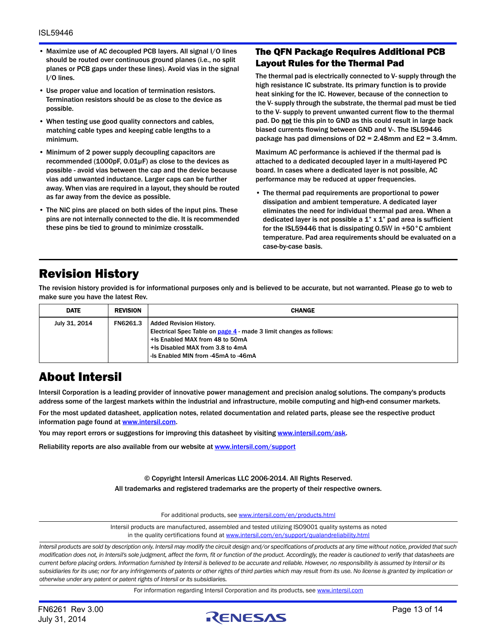- Maximize use of AC decoupled PCB layers. All signal I/O lines should be routed over continuous ground planes (i.e., no split planes or PCB gaps under these lines). Avoid vias in the signal I/O lines.
- Use proper value and location of termination resistors. Termination resistors should be as close to the device as possible.
- When testing use good quality connectors and cables, matching cable types and keeping cable lengths to a minimum.
- Minimum of 2 power supply decoupling capacitors are recommended  $(1000pF, 0.01\mu F)$  as close to the devices as possible - avoid vias between the cap and the device because vias add unwanted inductance. Larger caps can be further away. When vias are required in a layout, they should be routed as far away from the device as possible.
- The NIC pins are placed on both sides of the input pins. These pins are not internally connected to the die. It is recommended these pins be tied to ground to minimize crosstalk.

#### The QFN Package Requires Additional PCB Layout Rules for the Thermal Pad

The thermal pad is electrically connected to V- supply through the high resistance IC substrate. Its primary function is to provide heat sinking for the IC. However, because of the connection to the V- supply through the substrate, the thermal pad must be tied to the V- supply to prevent unwanted current flow to the thermal pad. Do not tie this pin to GND as this could result in large back biased currents flowing between GND and V-. The ISL59446 package has pad dimensions of D2 = 2.48mm and E2 = 3.4mm.

Maximum AC performance is achieved if the thermal pad is attached to a dedicated decoupled layer in a multi-layered PC board. In cases where a dedicated layer is not possible, AC performance may be reduced at upper frequencies.

• The thermal pad requirements are proportional to power dissipation and ambient temperature. A dedicated layer eliminates the need for individual thermal pad area. When a dedicated layer is not possible a  $1$ " x  $1$ " pad area is sufficient for the ISL59446 that is dissipating 0.5W in +50°C ambient temperature. Pad area requirements should be evaluated on a case-by-case basis.

### Revision History

The revision history provided is for informational purposes only and is believed to be accurate, but not warranted. Please go to web to make sure you have the latest Rev.

| <b>DATE</b>   | <b>REVISION</b> | <b>CHANGE</b>                                                                                                                                                                                               |
|---------------|-----------------|-------------------------------------------------------------------------------------------------------------------------------------------------------------------------------------------------------------|
| July 31, 2014 | <b>FN6261.3</b> | Added Revision History.<br>Electrical Spec Table on page 4 - made 3 limit changes as follows:<br>+Is Enabled MAX from 48 to 50mA<br>+Is Disabled MAX from 3.8 to 4mA<br>-Is Enabled MIN from -45mA to -46mA |

### About Intersil

Intersil Corporation is a leading provider of innovative power management and precision analog solutions. The company's products address some of the largest markets within the industrial and infrastructure, mobile computing and high-end consumer markets.

For the most updated datasheet, application notes, related documentation and related parts, please see the respective product information page found at [www.intersil.com.](www.intersil.com)

You may report errors or suggestions for improving this datasheet by visiting [www.intersil.com/ask](http://www.intersil.com/en/support/support-faqs.html?p_page=ask.php&p_prods=679&p_icf_7=ISL59446).

Reliability reports are also available from our website at [www.intersil.com/support](http://www.intersil.com/en/support/qualandreliability.html#reliability)

© Copyright Intersil Americas LLC 2006-2014. All Rights Reserved. All trademarks and registered trademarks are the property of their respective owners.

For additional products, see [www.intersil.com/en/products.html](http://www.intersil.com/en/products.html?utm_source=Intersil&utm_medium=datasheet&utm_campaign=disclaimer-ds-footer)

[Intersil products are manufactured, assembled and tested utilizing ISO9001 quality systems as noted](http://www.intersil.com/en/products.html?utm_source=Intersil&utm_medium=datasheet&utm_campaign=disclaimer-ds-footer) in the quality certifications found at [www.intersil.com/en/support/qualandreliability.html](http://www.intersil.com/en/support/qualandreliability.html?utm_source=Intersil&utm_medium=datasheet&utm_campaign=disclaimer-ds-footer)

*Intersil products are sold by description only. Intersil may modify the circuit design and/or specifications of products at any time without notice, provided that such modification does not, in Intersil's sole judgment, affect the form, fit or function of the product. Accordingly, the reader is cautioned to verify that datasheets are current before placing orders. Information furnished by Intersil is believed to be accurate and reliable. However, no responsibility is assumed by Intersil or its subsidiaries for its use; nor for any infringements of patents or other rights of third parties which may result from its use. No license is granted by implication or otherwise under any patent or patent rights of Intersil or its subsidiaries.*

For information regarding Intersil Corporation and its products, see [www.intersil.com](http://www.intersil.com?utm_source=intersil&utm_medium=datasheet&utm_campaign=disclaimer-ds-footer)